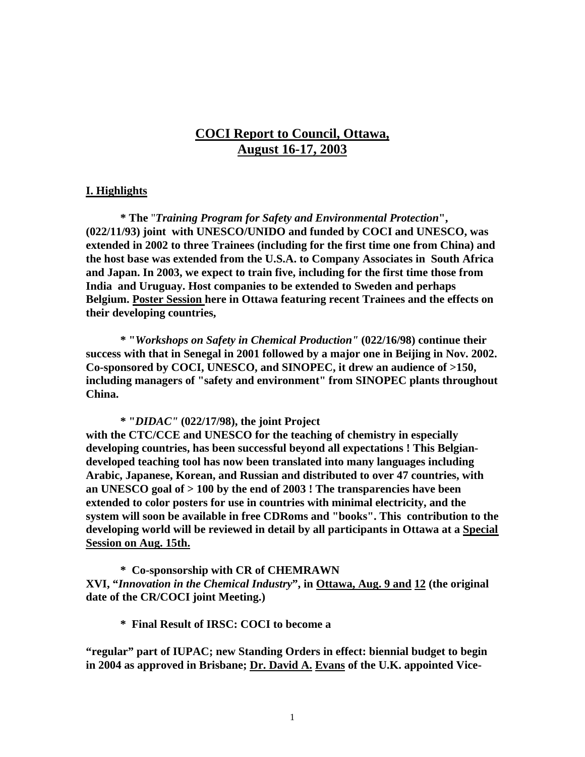# **COCI Report to Council, Ottawa, August 16-17, 2003**

### **I. Highlights**

**\* The** "*Training Program for Safety and Environmental Protection***", (022/11/93) joint with UNESCO/UNIDO and funded by COCI and UNESCO, was extended in 2002 to three Trainees (including for the first time one from China) and the host base was extended from the U.S.A. to Company Associates in South Africa and Japan. In 2003, we expect to train five, including for the first time those from India and Uruguay. Host companies to be extended to Sweden and perhaps Belgium. Poster Session here in Ottawa featuring recent Trainees and the effects on their developing countries,**

**\* "***Workshops on Safety in Chemical Production"* **(022/16/98) continue their success with that in Senegal in 2001 followed by a major one in Beijing in Nov. 2002. Co-sponsored by COCI, UNESCO, and SINOPEC, it drew an audience of >150, including managers of "safety and environment" from SINOPEC plants throughout China.**

**\* "***DIDAC"* **(022/17/98), the joint Project**

**with the CTC/CCE and UNESCO for the teaching of chemistry in especially developing countries, has been successful beyond all expectations ! This Belgiandeveloped teaching tool has now been translated into many languages including Arabic, Japanese, Korean, and Russian and distributed to over 47 countries, with an UNESCO goal of > 100 by the end of 2003 ! The transparencies have been extended to color posters for use in countries with minimal electricity, and the system will soon be available in free CDRoms and "books". This contribution to the developing world will be reviewed in detail by all participants in Ottawa at a Special Session on Aug. 15th.**

**\* Co-sponsorship with CR of CHEMRAWN XVI, "***Innovation in the Chemical Industry***", in Ottawa, Aug. 9 and 12 (the original date of the CR/COCI joint Meeting.)**

**\* Final Result of IRSC: COCI to become a**

**"regular" part of IUPAC; new Standing Orders in effect: biennial budget to begin in 2004 as approved in Brisbane; Dr. David A. Evans of the U.K. appointed Vice-**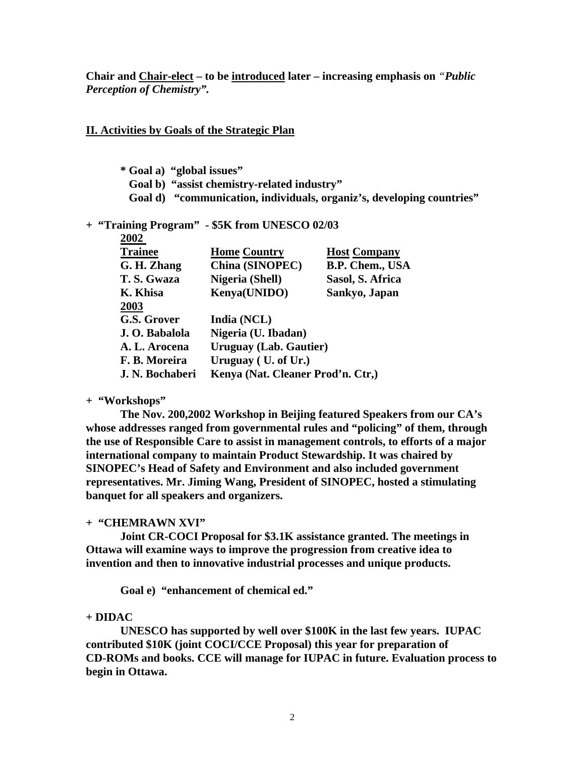**Chair and Chair-elect – to be introduced later – increasing emphasis on** *"Public Perception of Chemistry".*

### **II. Activities by Goals of the Strategic Plan**

**\* Goal a) "global issues" Goal b) "assist chemistry-related industry" Goal d) "communication, individuals, organiz's, developing countries"**

#### **+ "Training Program" - \$5K from UNESCO 02/03 2002**

| ZUUZ            |                                   |                     |
|-----------------|-----------------------------------|---------------------|
| <b>Trainee</b>  | <b>Home Country</b>               | <b>Host Company</b> |
| G. H. Zhang     | China (SINOPEC)                   | B.P. Chem., USA     |
| T.S. Gwaza      | Nigeria (Shell)                   | Sasol, S. Africa    |
| K. Khisa        | Kenya(UNIDO)                      | Sankyo, Japan       |
| 2003            |                                   |                     |
| G.S. Grover     | India (NCL)                       |                     |
| J. O. Babalola  | Nigeria (U. Ibadan)               |                     |
| A. L. Arocena   | <b>Uruguay (Lab. Gautier)</b>     |                     |
| F. B. Moreira   | Uruguay (U. of Ur.)               |                     |
| J. N. Bochaberi | Kenya (Nat. Cleaner Prod'n. Ctr.) |                     |
|                 |                                   |                     |

**+ "Workshops"**

**The Nov. 200,2002 Workshop in Beijing featured Speakers from our CA's whose addresses ranged from governmental rules and "policing" of them, through the use of Responsible Care to assist in management controls, to efforts of a major international company to maintain Product Stewardship. It was chaired by SINOPEC's Head of Safety and Environment and also included government representatives. Mr. Jiming Wang, President of SINOPEC, hosted a stimulating banquet for all speakers and organizers.**

### **+ "CHEMRAWN XVI"**

**Joint CR-COCI Proposal for \$3.1K assistance granted. The meetings in Ottawa will examine ways to improve the progression from creative idea to invention and then to innovative industrial processes and unique products.**

**Goal e) "enhancement of chemical ed."**

### **+ DIDAC**

**UNESCO has supported by well over \$100K in the last few years. IUPAC contributed \$10K (joint COCI/CCE Proposal) this year for preparation of CD-ROMs and books. CCE will manage for IUPAC in future. Evaluation process to begin in Ottawa.**